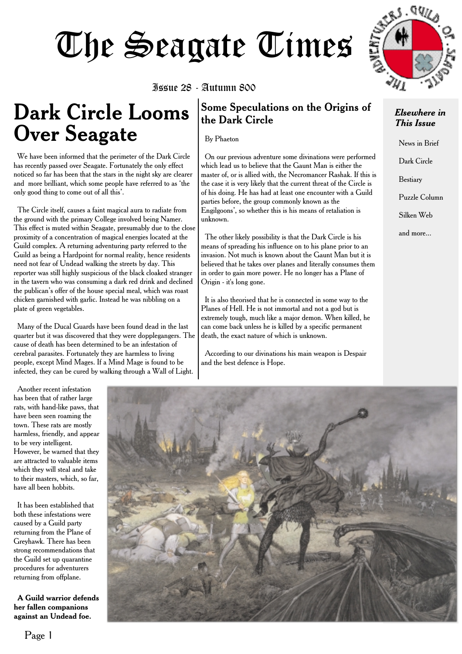Issue 28 - Autumn 800

## **Dark Circle Looms Over Seagate**

We have been informed that the perimeter of the Dark Circle has recently passed over Seagate. Fortunately the only effect noticed so far has been that the stars in the night sky are clearer and more brilliant, which some people have referred to as 'the only good thing to come out of all this'.

The Circle itself, causes a faint magical aura to radiate from the ground with the primary College involved being Namer. This effect is muted within Seagate, presumably due to the close proximity of a concentration of magical energies located at the Guild complex. A returning adventuring party referred to the Guild as being a Hardpoint for normal reality, hence residents need not fear of Undead walking the streets by day. This reporter was still highly suspicious of the black cloaked stranger in the tavern who was consuming a dark red drink and declined the publican's offer of the house special meal, which was roast chicken garnished with garlic. Instead he was nibbling on a plate of green vegetables.

Many of the Ducal Guards have been found dead in the last quarter but it was discovered that they were dopplegangers. The cause of death has been determined to be an infestation of cerebral parasites. Fortunately they are harmless to living people, except Mind Mages. If a Mind Mage is found to be infected, they can be cured by walking through a Wall of Light.

Another recent infestation has been that of rather large rats, with hand-like paws, that have been seen roaming the town. These rats are mostly harmless, friendly, and appear to be very intelligent. However, be warned that they are attracted to valuable items which they will steal and take to their masters, which, so far, have all been hobbits

It has been established that both these infestations were caused by a Guild party returning from the Plane of Greyhawk. There has been strong recommendations that the Guild set up quarantine procedures for adventurers returning from offplane.

**A Guild warrior defends her fallen companions against an Undead foe.**



By Phaeton

On our previous adventure some divinations were performed which lead us to believe that the Gaunt Man is either the master of, or is allied with, the Necromancer Rashak. If this is the case it is very likely that the current threat of the Circle is of his doing. He has had at least one encounter with a Guild parties before, the group commonly known as the Engilgoons', so whether this is his means of retaliation is unknown.

The other likely possibility is that the Dark Circle is his means of spreading his influence on to his plane prior to an invasion. Not much is known about the Gaunt Man but it is believed that he takes over planes and literally consumes them in order to gain more power. He no longer has a Plane of Origin - it's long gone.

It is also theorised that he is connected in some way to the Planes of Hell. He is not immortal and not a god but is extremely tough, much like a major demon. When killed, he can come back unless he is killed by a specific permanent death, the exact nature of which is unknown.

According to our divinations his main weapon is Despair and the best defence is Hope.



#### *Elsewhere in This Issue*

News in Brief Dark Circle Bestiary Puzzle Column Silken Web and more...

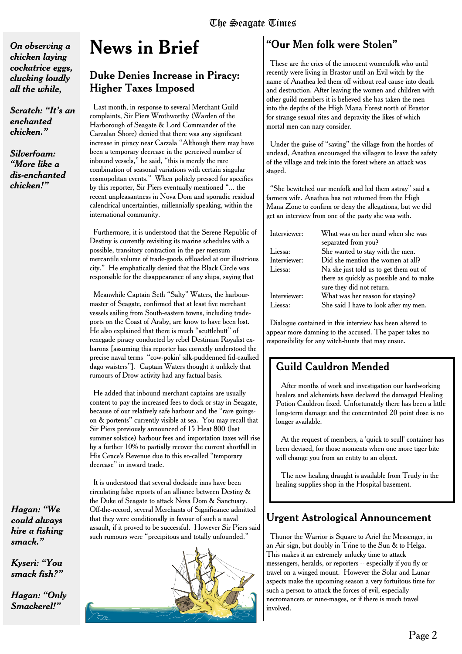*On observing a chicken laying cockatrice eggs, clucking loudly all the while,*

*Scratch: "It's an enchanted chicken."*

*Silverfoam: "More like a dis-enchanted chicken!"*

## **News in Brief**

#### Duke Denies Increase in Piracy: Higher Taxes Imposed

Last month, in response to several Merchant Guild complaints, Sir Piers Wrothworthy (Warden of the Harborough of Seagate & Lord Commander of the Carzalan Shore) denied that there was any significant increase in piracy near Carzala "Although there may have been a temporary decrease in the perceived number of inbound vessels," he said, "this is merely the rare combination of seasonal variations with certain singular cosmopolitan events." When politely pressed for specifics by this reporter, Sir Piers eventually mentioned "... the recent unpleasantness in Nova Dom and sporadic residual calendrical uncertainties, millennially speaking, within the international community.

Furthermore, it is understood that the Serene Republic of Destiny is currently revisiting its marine schedules with a possible, transitory contraction in the per mensum mercantile volume of trade-goods offloaded at our illustrious city." He emphatically denied that the Black Circle was responsible for the disappearance of any ships, saying that

Meanwhile Captain Seth "Salty" Waters, the harbourmaster of Seagate, confirmed that at least five merchant vessels sailing from South-eastern towns, including tradeports on the Coast of Araby, are know to have been lost. He also explained that there is much "scuttlebutt" of renegade piracy conducted by rebel Destinian Royalist exbarons [assuming this reporter has correctly understood the precise naval terms "cow-pokin' silk-puddenned fid-caulked dago waisters"]. Captain Waters thought it unlikely that rumours of Drow activity had any factual basis.

He added that inbound merchant captains are usually content to pay the increased fees to dock or stay in Seagate, because of our relatively safe harbour and the "rare goingson & portents" currently visible at sea. You may recall that Sir Piers previously announced of 15 Heat 800 (last summer solstice) harbour fees and importation taxes will rise by a further 10% to partially recover the current shortfall in His Grace's Revenue due to this so-called "temporary decrease" in inward trade.

It is understood that several dockside inns have been circulating false reports of an alliance between Destiny & the Duke of Seagate to attack Nova Dom & Sanctuary. Off-the-record, several Merchants of Significance admitted that they were conditionally in favour of such a naval assault, if it proved to be successful. However Sir Piers said such rumours were "precipitous and totally unfounded."

*could always hire a fishing smack."*

*Hagan: "We*

*Kyseri: "You smack fish?"*

*Hagan: "Only Smackerel!"*



#### "Our Men folk were Stolen"

These are the cries of the innocent womenfolk who until recently were living in Brastor until an Evil witch by the name of Anathea led them off without real cause into death and destruction. After leaving the women and children with other guild members it is believed she has taken the men into the depths of the High Mana Forest north of Brastor for strange sexual rites and depravity the likes of which mortal men can nary consider.

Under the guise of "saving" the village from the hordes of undead, Anathea encouraged the villagers to leave the safety of the village and trek into the forest where an attack was staged.

"She bewitched our menfolk and led them astray" said a farmers wife. Anathea has not returned from the High Mana Zone to confirm or deny the allegations, but we did get an interview from one of the party she was with.

| Interviewer: | What was on her mind when she was<br>separated from you?              |
|--------------|-----------------------------------------------------------------------|
| Liessa:      | She wanted to stay with the men.                                      |
| Interviewer: | Did she mention the women at all?                                     |
| Liessa:      | Na she just told us to get them out of                                |
|              | there as quickly as possible and to make<br>sure they did not return. |
| Interviewer: | What was her reason for staying?                                      |
| Liessa:      | She said I have to look after my men.                                 |

Dialogue contained in this interview has been altered to appear more damning to the accused. The paper takes no responsibility for any witch-hunts that may ensue.

#### Guild Cauldron Mended

After months of work and investigation our hardworking healers and alchemists have declared the damaged Healing Potion Cauldron fixed. Unfortunately there has been a little long-term damage and the concentrated 20 point dose is no longer available.

At the request of members, a 'quick to scull' container has been devised, for those moments when one more tiger bite will change you from an entity to an object.

The new healing draught is available from Trudy in the healing supplies shop in the Hospital basement.

#### Urgent Astrological Announcement

Thunor the Warrior is Square to Ariel the Messenger, in an Air sign, but doubly in Trine to the Sun & to Helga. This makes it an extremely unlucky time to attack messengers, heralds, or reporters -- especially if you fly or travel on a winged mount. However the Solar and Lunar aspects make the upcoming season a very fortuitous time for such a person to attack the forces of evil, especially necromancers or rune-mages, or if there is much travel involved.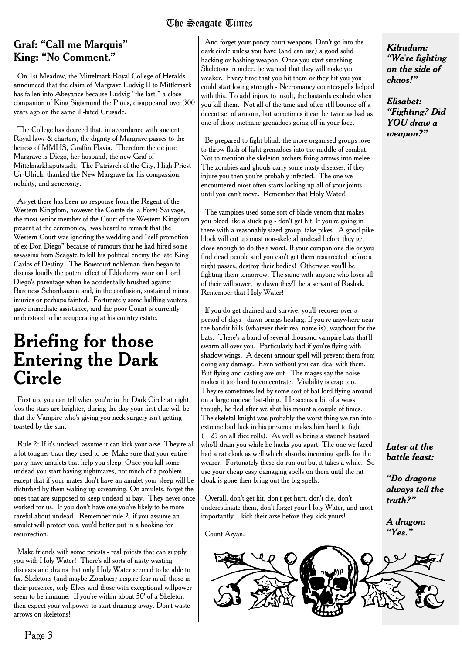#### Graf: "Call me Marquis" King: "No Comment."

On 1st Meadow, the Mittelmark Royal College of Heralds announced that the claim of Margrave Ludvig II to Mittlemark has fallen into Abeyance because Ludvig "the last," a close companion of King Sigismund the Pious, disappeared over 300 years ago on the same ill-fated Crusade.

The College has decreed that, in accordance with ancient Royal laws & charters, the dignity of Margrave passes to the heiress of MMHS, Graffin Flavia. Therefore the de jure Margrave is Diego, her husband, the new Graf of Mittelmarkhaputstadt. The Patriarch of the City, High Priest Ur-Ulrich, thanked the New Margrave for his compassion, nobility, and generosity.

As yet there has been no response from the Regent of the Western Kingdom, however the Comte de la Forêt-Sauvage, the most senior member of the Court of the Western Kingdom present at the ceremonies, was heard to remark that the Western Court was ignoring the wedding and "self-promotion of ex-Don Diego" because of rumours that he had hired some assassins from Seagate to kill his political enemy the late King Carlos of Destiny. The Bowcourt nobleman then began to discuss loudly the potent effect of Elderberry wine on Lord Diego's parentage when he accidentally brushed against Baroness Schonhausen and, in the confusion, sustained minor injuries or perhaps fainted. Fortunately some halfling waiters gave immediate assistance, and the poor Count is currently understood to be recuperating at his country estate.

### **Briefing for those Entering the Dark Circle**

First up, you can tell when you're in the Dark Circle at night 'cos the stars are brighter, during the day your first clue will be that the Vampire who's giving you neck surgery isn't getting toasted by the sun.

Rule 2: If it's undead, assume it can kick your arse. They're all a lot tougher than they used to be. Make sure that your entire party have amulets that help you sleep. Once you kill some undead you start having nightmares, not much of a problem except that if your mates don't have an amulet your sleep will be disturbed by them waking up screaming. On amulets, forget the ones that are supposed to keep undead at bay. They never once worked for us. If you don't have one you're likely to be more careful about undead. Remember rule 2, if you assume an amulet will protect you, you'd better put in a booking for resurrection.

Make friends with some priests - real priests that can supply you with Holy Water! There's all sorts of nasty wasting diseases and drains that only Holy Water seemed to be able to fix. Skeletons (and maybe Zombies) inspire fear in all those in their presence, only Elves and those with exceptional willpower seem to be immune. If you're within about 50' of a Skeleton then expect your willpower to start draining away. Don't waste arrows on skeletons!

And forget your poncy court weapons. Don't go into the dark circle unless you have (and can use) a good solid hacking or bashing weapon. Once you start smashing Skeletons in melee, be warned that they will make you weaker. Every time that you hit them or they hit you you could start losing strength - Necromancy counterspells helped with this. To add injury to insult, the bastards explode when you kill them. Not all of the time and often it'll bounce off a decent set of armour, but sometimes it can be twice as bad as one of those methane grenadoes going off in your face.

Be prepared to fight blind, the more organised groups love to throw flash of light grenadoes into the middle of combat. Not to mention the skeleton archers firing arrows into melee. The zombies and ghouls carry some nasty diseases, if they injure you then you're probably infected. The one we encountered most often starts locking up all of your joints until you can't move. Remember that Holy Water!

The vampires used some sort of blade venom that makes you bleed like a stuck pig - don't get hit. If you're going in there with a reasonably sized group, take pikes. A good pike block will cut up most non-skeletal undead before they get close enough to do their worst. If your companions die or you find dead people and you can't get them resurrected before a night passes, destroy their bodies! Otherwise you'll be fighting them tomorrow. The same with anyone who loses all of their willpower, by dawn they'll be a servant of Rashak. Remember that Holy Water!

If you do get drained and survive, you'll recover over a period of days - dawn brings healing. If you're anywhere near the bandit hills (whatever their real name is), watchout for the bats. There's a band of several thousand vampire bats that'll swarm all over you. Particularly bad if you're flying with shadow wings. A decent armour spell will prevent them from doing any damage. Even without you can deal with them. But flying and casting are out. The mages say the noise makes it too hard to concentrate. Visibility is crap too. They're sometimes led by some sort of bat lord flying around on a large undead bat-thing. He seems a bit of a wuss though, he fled after we shot his mount a couple of times. The skeletal knight was probably the worst thing we ran into extreme bad luck in his presence makes him hard to fight (+25 on all dice rolls). As well as being a staunch bastard who'll drain you while he hacks you apart. The one we faced had a rat cloak as well which absorbs incoming spells for the wearer. Fortunately these do run out but it takes a while. So use your cheap easy damaging spells on them until the rat cloak is gone then bring out the big spells.

Overall, don't get hit, don't get hurt, don't die, don't underestimate them, don't forget your Holy Water, and most importantly... kick their arse before they kick yours!

Count Aryan.





*Elisabet: "Fighting? Did YOU draw a weapon?"*

*Later at the battle feast:*

*"Do dragons always tell the truth?"*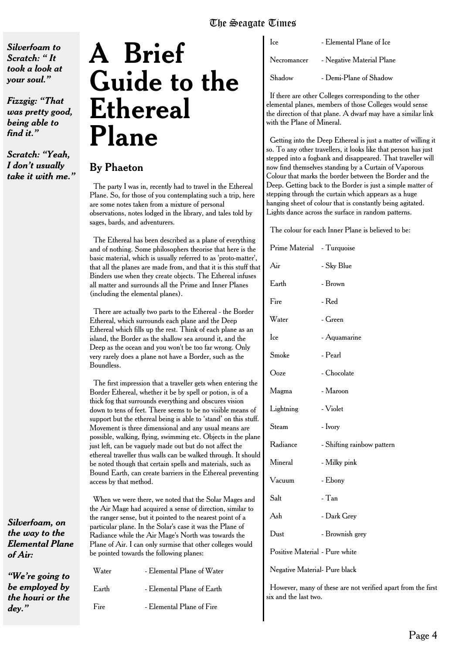*Silverfoam to Scratch: " It took a look at your soul."*

*Fizzgig: "That was pretty good, being able to find it."*

*Scratch: "Yeah, I don't usually take it with me."*

*Silverfoam, on the way to the Elemental Plane*

*"We're going to be employed by the houri or the*

*of Air:*

*dey."*

## **A Brief Guide to the Ethereal Plane**

#### By Phaeton

The party I was in, recently had to travel in the Ethereal Plane. So, for those of you contemplating such a trip, here are some notes taken from a mixture of personal observations, notes lodged in the library, and tales told by sages, bards, and adventurers.

The Ethereal has been described as a plane of everything and of nothing. Some philosophers theorise that here is the basic material, which is usually referred to as 'proto-matter', that all the planes are made from, and that it is this stuff that Binders use when they create objects. The Ethereal infuses all matter and surrounds all the Prime and Inner Planes (including the elemental planes).

There are actually two parts to the Ethereal - the Border Ethereal, which surrounds each plane and the Deep Ethereal which fills up the rest. Think of each plane as an island, the Border as the shallow sea around it, and the Deep as the ocean and you won't be too far wrong. Only very rarely does a plane not have a Border, such as the Boundless.

The first impression that a traveller gets when entering the Border Ethereal, whether it be by spell or potion, is of a thick fog that surrounds everything and obscures vision down to tens of feet. There seems to be no visible means of support but the ethereal being is able to 'stand' on this stuff. Movement is three dimensional and any usual means are possible, walking, flying, swimming etc. Objects in the plane just left, can be vaguely made out but do not affect the ethereal traveller thus walls can be walked through. It should be noted though that certain spells and materials, such as Bound Earth, can create barriers in the Ethereal preventing access by that method.

When we were there, we noted that the Solar Mages and the Air Mage had acquired a sense of direction, similar to the ranger sense, but it pointed to the nearest point of a particular plane. In the Solar's case it was the Plane of Radiance while the Air Mage's North was towards the Plane of Air. I can only surmise that other colleges would be pointed towards the following planes:

| Water | - Elemental Plane of Water |
|-------|----------------------------|
| Earth | - Elemental Plane of Earth |
| Fire  | - Elemental Plane of Fire  |

| Ice         | - Elemental Plane of Ice  |
|-------------|---------------------------|
| Necromancer | - Negative Material Plane |
| Shadow      | - Demi-Plane of Shadow    |

If there are other Colleges corresponding to the other elemental planes, members of those Colleges would sense the direction of that plane. A dwarf may have a similar link with the Plane of Mineral.

Getting into the Deep Ethereal is just a matter of willing it so. To any other travellers, it looks like that person has just stepped into a fogbank and disappeared. That traveller will now find themselves standing by a Curtain of Vaporous Colour that marks the border between the Border and the Deep. Getting back to the Border is just a simple matter of stepping through the curtain which appears as a huge hanging sheet of colour that is constantly being agitated. Lights dance across the surface in random patterns.

The colour for each Inner Plane is believed to be:

| Prime Material - Turquoise     |                            |  |
|--------------------------------|----------------------------|--|
| Air                            | - Sky Blue                 |  |
| Earth                          | - Brown                    |  |
| Fire                           | - Red                      |  |
| Water                          | - Green                    |  |
| Ice                            | - Aquamarine               |  |
| Smoke                          | - Pearl                    |  |
| Ooze                           | - Chocolate                |  |
| Magma                          | - Maroon                   |  |
| Lightning                      | - Violet                   |  |
| Steam                          | - Ivory                    |  |
| Radiance                       | - Shifting rainbow pattern |  |
| Mineral                        | - Milky pink               |  |
| Vacuum                         | - Ebony                    |  |
| Salt                           | - Tan                      |  |
| Ash                            | - Dark Grey                |  |
| Dust                           | - Brownish grey            |  |
| Positive Material - Pure white |                            |  |
| Negative Material- Pure black  |                            |  |

However, many of these are not verified apart from the first six and the last two.

#### The Seagate Times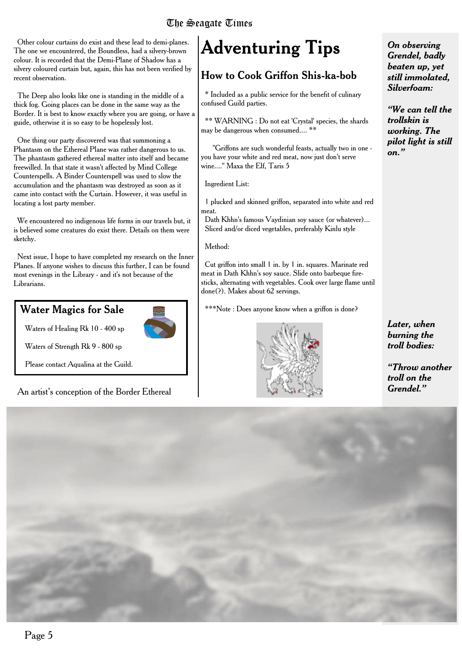Other colour curtains do exist and these lead to demi-planes. The one we encountered, the Boundless, had a silvery-brown colour. It is recorded that the Demi-Plane of Shadow has a silvery coloured curtain but, again, this has not been verified by recent observation.

The Deep also looks like one is standing in the middle of a thick fog. Going places can be done in the same way as the Border. It is best to know exactly where you are going, or have a guide, otherwise it is so easy to be hopelessly lost.

One thing our party discovered was that summoning a Phantasm on the Ethereal Plane was rather dangerous to us. The phantasm gathered ethereal matter into itself and became freewilled. In that state it wasn't affected by Mind College Counterspells. A Binder Counterspell was used to slow the accumulation and the phantasm was destroyed as soon as it came into contact with the Curtain. However, it was useful in locating a lost party member.

We encountered no indigenous life forms in our travels but, it is believed some creatures do exist there. Details on them were sketchy.

Next issue, I hope to have completed my research on the Inner Planes. If anyone wishes to discuss this further, I can be found most evenings in the Library - and it's not because of the Librarians.

#### Water Magics for Sale



Waters of Healing Rk 10 - 400 sp

Waters of Strength Rk 9 - 800 sp

Please contact Aqualina at the Guild.

An artist's conception of the Border Ethereal

## **Adventuring Tips**

#### How to Cook Griffon Shis-ka-bob

\* Included as a public service for the benefit of culinary confused Guild parties.

\*\* WARNING : Do not eat 'Crystal' species, the shards may be dangerous when consumed.... \*\*

"Griffons are such wonderful feasts, actually two in one you have your white and red meat, now just don't serve wine...." Maxa the Elf, Taris 5

Ingredient List:

1 plucked and skinned griffon, separated into white and red meat.

Dath Khhn's famous Vaydinian soy sauce (or whatever)... Sliced and/or diced vegetables, preferably Kinlu style

Method:

Cut griffon into small 1 in. by 1 in. squares. Marinate red meat in Dath Khhn's soy sauce. Slide onto barbeque firesticks, alternating with vegetables. Cook over large flame until done(?). Makes about 62 servings.

\*\*\*Note : Does anyone know when a griffon is done?



*On observing Grendel, badly beaten up, yet still immolated, Silverfoam:*

*"We can tell the trollskin is working. The pilot light is still on."*

*Later, when burning the troll bodies:*

*"Throw another troll on the Grendel."*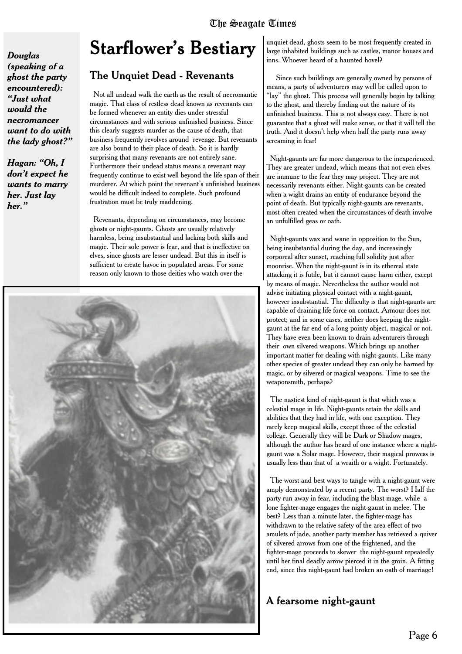## **Starflower's Bestiary**

#### The Unquiet Dead - Revenants

*Douglas*

*(speaking of a ghost the party encountered): "Just what would the necromancer want to do with the lady ghost?"*

*Hagan: "Oh, I don't expect he wants to marry her. Just lay*

*her."*

Not all undead walk the earth as the result of necromantic magic. That class of restless dead known as revenants can be formed whenever an entity dies under stressful circumstances and with serious unfinished business. Since this clearly suggests murder as the cause of death, that business frequently revolves around revenge. But revenants are also bound to their place of death. So it is hardly surprising that many revenants are not entirely sane. Furthermore their undead status means a revenant may frequently continue to exist well beyond the life span of their murderer. At which point the revenant's unfinished business would be difficult indeed to complete. Such profound frustration must be truly maddening.

Revenants, depending on circumstances, may become ghosts or night-gaunts. Ghosts are usually relatively harmless, being insubstantial and lacking both skills and magic. Their sole power is fear, and that is ineffective on elves, since ghosts are lesser undead. But this in itself is sufficient to create havoc in populated areas. For some reason only known to those deities who watch over the



unquiet dead, ghosts seem to be most frequently created in large inhabited buildings such as castles, manor houses and inns. Whoever heard of a haunted hovel?

Since such buildings are generally owned by persons of means, a party of adventurers may well be called upon to "lay" the ghost. This process will generally begin by talking to the ghost, and thereby finding out the nature of its unfinished business. This is not always easy. There is not guarantee that a ghost will make sense, or that it will tell the truth. And it doesn't help when half the party runs away screaming in fear!

Night-gaunts are far more dangerous to the inexperienced. They are greater undead, which means that not even elves are immune to the fear they may project. They are not necessarily revenants either. Night-gaunts can be created when a wight drains an entity of endurance beyond the point of death. But typically night-gaunts are revenants, most often created when the circumstances of death involve an unfulfilled geas or oath.

Night-gaunts wax and wane in opposition to the Sun, being insubstantial during the day, and increasingly corporeal after sunset, reaching full solidity just after moonrise. When the night-gaunt is in its ethereal state attacking it is futile, but it cannot cause harm either, except by means of magic. Nevertheless the author would not advise initiating physical contact with a night-gaunt, however insubstantial. The difficulty is that night-gaunts are capable of draining life force on contact. Armour does not protect; and in some cases, neither does keeping the nightgaunt at the far end of a long pointy object, magical or not. They have even been known to drain adventurers through their own silvered weapons. Which brings up another important matter for dealing with night-gaunts. Like many other species of greater undead they can only be harmed by magic, or by silvered or magical weapons. Time to see the weaponsmith, perhaps?

The nastiest kind of night-gaunt is that which was a celestial mage in life. Night-gaunts retain the skills and abilities that they had in life, with one exception. They rarely keep magical skills, except those of the celestial college. Generally they will be Dark or Shadow mages, although the author has heard of one instance where a nightgaunt was a Solar mage. However, their magical prowess is usually less than that of a wraith or a wight. Fortunately.

The worst and best ways to tangle with a night-gaunt were amply demonstrated by a recent party. The worst? Half the party run away in fear, including the blast mage, while a lone fighter-mage engages the night-gaunt in melee. The best? Less than a minute later, the fighter-mage has withdrawn to the relative safety of the area effect of two amulets of jade, another party member has retrieved a quiver of silvered arrows from one of the frightened, and the fighter-mage proceeds to skewer the night-gaunt repeatedly until her final deadly arrow pierced it in the groin. A fitting end, since this night-gaunt had broken an oath of marriage!

A fearsome night-gaunt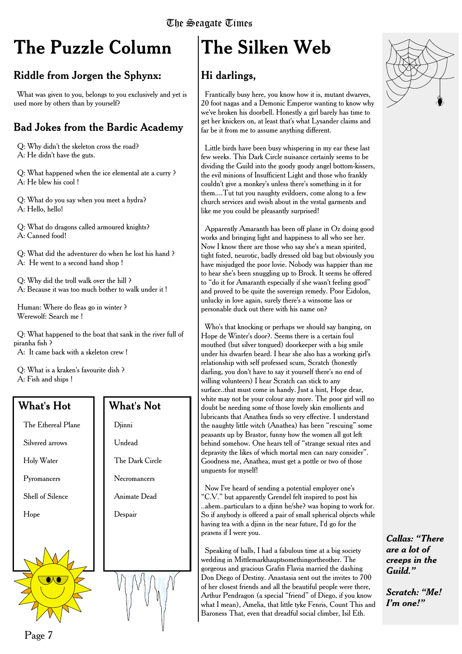## **The Puzzle Column**

#### Riddle from Jorgen the Sphynx:

What was given to you, belongs to you exclusively and yet is used more by others than by yourself?

#### Bad Jokes from the Bardic Academy

Q: Why didn't the skeleton cross the road? A: He didn't have the guts.

Q: What happened when the ice elemental ate a curry ? A: He blew his cool !

Q: What do you say when you meet a hydra? A: Hello, hello!

Q: What do dragons called armoured knights? A: Canned food!

Q: What did the adventurer do when he lost his hand ? A: He went to a second hand shop !

Q: Why did the troll walk over the hill ? A: Because it was too much bother to walk under it !

Human: Where do fleas go in winter ? Werewolf: Search me !

Q: What happened to the boat that sank in the river full of piranha fish ?

A: It came back with a skeleton crew !

Q: What is a kraken's favourite dish ? A: Fish and ships !

#### What's Hot

The Ethereal Plane

Silvered arrows

Holy Water

Pyromancers

Shell of Silence

Hope



#### What's Not

Djinni

Undead

## **The Silken Web**

#### Hi darlings,

Frantically busy here, you know how it is, mutant dwarves, 20 foot nagas and a Demonic Emperor wanting to know why we've broken his doorbell. Honestly a girl barely has time to get her knickers on, at least that's what Lysander claims and far be it from me to assume anything different.

Little birds have been busy whispering in my ear these last few weeks. This Dark Circle nuisance certainly seems to be dividing the Guild into the goody goody angel bottom-kissers, the evil minions of Insufficient Light and those who frankly couldn't give a monkey's unless there's something in it for them....Tut tut you naughty evildoers, come along to a few church services and swish about in the vestal garments and like me you could be pleasantly surprised!

Apparently Amaranth has been off plane in Oz doing good works and bringing light and happiness to all who see her. Now I know there are those who say she's a mean spirited, tight fisted, neurotic, badly dressed old bag but obviously you have misjudged the poor lovie. Nobody was happier than me to hear she's been snuggling up to Brock. It seems he offered to "do it for Amaranth especially if she wasn't feeling good" and proved to be quite the sovereign remedy. Poor Eidolon, unlucky in love again, surely there's a winsome lass or personable duck out there with his name on?

Who's that knocking or perhaps we should say banging, on Hope de Winter's door?. Seems there is a certain foul mouthed (but silver tongued) doorkeeper with a big smile under his dwarfen beard. I hear she also has a working girl's relationship with self professed scum, Scratch (honestly darling, you don't have to say it yourself there's no end of willing volunteers) I hear Scratch can stick to any surface..that must come in handy. Just a hint, Hope dear, white may not be your colour any more. The poor girl will no doubt be needing some of those lovely skin emollients and lubricants that Anathea finds so very effective. I understand the naughty little witch (Anathea) has been "rescuing" some peasants up by Brastor, funny how the women all got left behind somehow. One hears tell of "strange sexual rites and depravity the likes of which mortal men can nary consider". Goodness me, Anathea, must get a pottle or two of those unguents for myself!

Now I've heard of sending a potential employer one's "C.V." but apparently Grendel felt inspired to post his ..ahem..particulars to a djinn he/she? was hoping to work for. So if anybody is offered a pair of small spherical objects while having tea with a djinn in the near future, I'd go for the prawns if I were you.

Speaking of balls, I had a fabulous time at a big society wedding in Mittlemarkhauptsomethingortheother. The gorgeous and gracious Grafin Flavia married the dashing Don Diego of Destiny. Anastasia sent out the invites to 700 of her closest friends and all the beautiful people were there, Arthur Pendragon (a special "friend" of Diego, if you know what I mean), Amelia, that little tyke Fenris, Count This and Baroness That, even that dreadful social climber, Isil Eth.



*Callas: "There are a lot of creeps in the Guild."*

*Scratch: "Me! I'm one!"*

The Dark Circle Necromancers Animate Dead Despair